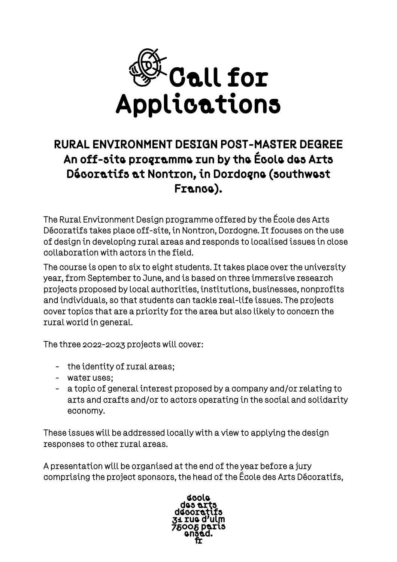

## RURAL ENVIRONMENT DESIGN POST-MASTER DEGREE An off-site programme run by the École des Arts Décoratifs at Nontron, in Dordogne (southwest France).

The Rural Environment Design programme offered by the École des Arts Décoratifs takes place off-site, in Nontron, Dordogne. It focuses on the use of design in developing rural areas and responds to localised issues in close collaboration with actors in the field.

The course is open to six to eight students. It takes place over the university year, from September to June, and is based on three immersive research projects proposed by local authorities, institutions, businesses, nonprofits and individuals, so that students can tackle real-life issues. The projects cover topics that are a priority for the area but also likely to concern the rural world in general.

The three 2022-2023 projects will cover:

- the identity of rural areas;
- water uses;
- a topic of general interest proposed by a company and/or relating to arts and crafts and/or to actors operating in the social and solidarity economy.

These issues will be addressed locally with a view to applying the design responses to other rural areas.

A presentation will be organised at the end of the year before a jury comprising the project sponsors, the head of the École des Arts Décoratifs,

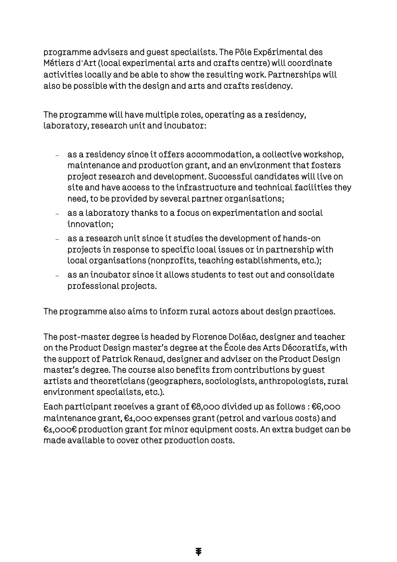programme advisers and guest specialists. The Pôle Expérimental des Métiers d'Art (local experimental arts and crafts centre) will coordinate activities locally and be able to show the resulting work. Partnerships will also be possible with the design and arts and crafts residency.

The programme will have multiple roles, operating as a residency, laboratory, research unit and incubator:

- − as a residency since it offers accommodation, a collective workshop, maintenance and production grant, and an environment that fosters project research and development. Successful candidates will live on site and have access to the infrastructure and technical facilities they need, to be provided by several partner organisations;
- − as a laboratory thanks to a focus on experimentation and social innovation;
- − as a research unit since it studies the development of hands-on projects in response to specific local issues or in partnership with local organisations (nonprofits, teaching establishments, etc.);
- − as an incubator since it allows students to test out and consolidate professional projects.

The programme also aims to inform rural actors about design practices.

The post-master degree is headed by Florence Doléac, designer and teacher on the Product Design master's degree at the École des Arts Décoratifs, with the support of Patrick Renaud, designer and adviser on the Product Design master's degree. The course also benefits from contributions by guest artists and theoreticians (geographers, sociologists, anthropologists, rural environment specialists, etc.).

Each participant receives a grant of €8,000 divided up as follows : €6,000 maintenance grant, €1,000 expenses grant (petrol and various costs) and €1,000€ production grant for minor equipment costs. An extra budget can be made available to cover other production costs.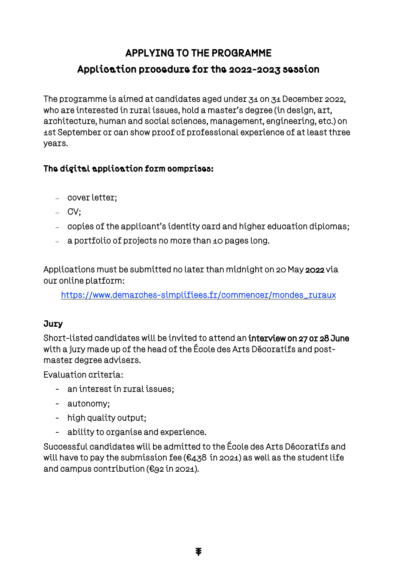## APPLYING TO THE PROGRAMME Application procedure for the 2022-2023 session

The programme is aimed at candidates aged under 31 on 31 December 2022, who are interested in rural issues, hold a master's degree (in design, art, architecture, human and social sciences, management, engineering, etc.) on 1st September or can show proof of professional experience of at least three years.

## The digital application form comprises:

- − cover letter;
- − CV;
- − copies of the applicant's identity card and higher education diplomas;
- − a portfolio of projects no more than 10 pages long.

Applications must be submitted no later than midnight on 20 May 2022 via our online platform:

[https://www.demarches-simplifiees.fr/commencer/mondes\\_ruraux](https://www.demarches-simplifiees.fr/commencer/mondes_ruraux)

## Jury

Short-listed candidates will be invited to attend an interview on 27 or 28 June with a jury made up of the head of the École des Arts Décoratifs and postmaster degree advisers.

Evaluation criteria:

- an interest in rural issues;
- autonomy;
- high quality output;
- ability to organise and experience.

Successful candidates will be admitted to the École des Arts Décoratifs and will have to pay the submission fee ( $\epsilon$ 438 in 2021) as well as the student life and campus contribution (€92 in 2021).